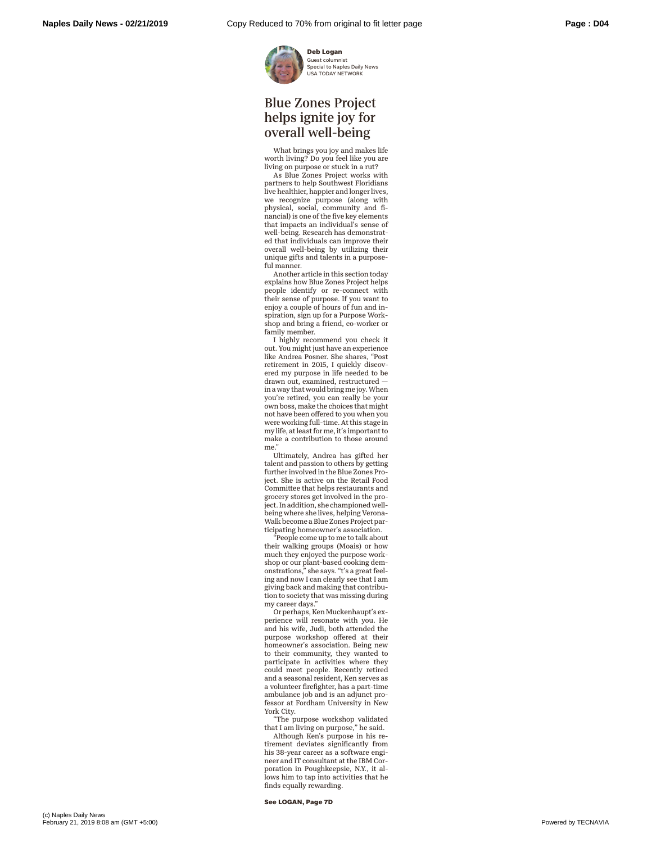

Guest columnist Special to Naples Daily News USA TODAY NETWORK

## Blue Zones Project helps ignite joy for overall well-being

What brings you joy and makes life worth living? Do you feel like you are living on purpose or stuck in a rut?

As Blue Zones Project works with partners to help Southwest Floridians live healthier, happier and longer lives, we recognize purpose (along with physical, social, community and financial) is one of the five key elements that impacts an individual's sense of well-being. Research has demonstrated that individuals can improve their overall well-being by utilizing their unique gifts and talents in a purposeful manner.

Another article in this section today explains how Blue Zones Project helps people identify or re-connect with their sense of purpose. If you want to enjoy a couple of hours of fun and inspiration, sign up for a Purpose Workshop and bring a friend, co-worker or family member.

I highly recommend you check it out. You might just have an experience like Andrea Posner. She shares, "Post retirement in 2015, I quickly discovered my purpose in life needed to be drawn out, examined, restructured in a way that would bring me joy. When you're retired, you can really be your own boss, make the choices that might not have been offered to you when you were working full-time. At this stage in my life, at least for me, it's important to make a contribution to those around me.

Ultimately, Andrea has gifted her talent and passion to others by getting further involved in the Blue Zones Project. She is active on the Retail Food Committee that helps restaurants and grocery stores get involved in the project. In addition, she championed wellbeing where she lives, helping Verona-Walk become a Blue Zones Project participating homeowner's association.

"People come up to me to talk about their walking groups (Moais) or how much they enjoyed the purpose workshop or our plant-based cooking dem-onstrations," she says. "t's a great feeling and now I can clearly see that I am giving back and making that contribution to society that was missing during my career days."

Or perhaps, Ken Muckenhaupt's experience will resonate with you. He and his wife, Judi, both attended the purpose workshop offered at their homeowner's association. Being new to their community, they wanted to participate in activities where they could meet people. Recently retired and a seasonal resident, Ken serves as a volunteer firefighter, has a part-time ambulance job and is an adjunct professor at Fordham University in New York City.

"The purpose workshop validated that I am living on purpose," he said.

Although Ken's purpose in his retirement deviates significantly from his 38-year career as a software engineer and IT consultant at the IBM Corporation in Poughkeepsie, N.Y., it allows him to tap into activities that he finds equally rewarding.